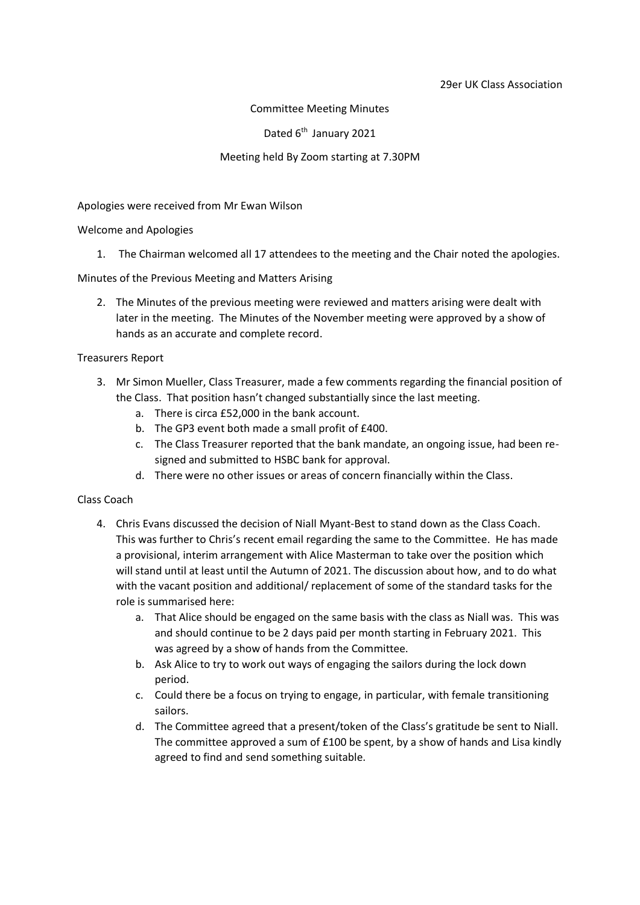#### Committee Meeting Minutes

Dated 6<sup>th</sup> January 2021

## Meeting held By Zoom starting at 7.30PM

## Apologies were received from Mr Ewan Wilson

## Welcome and Apologies

1. The Chairman welcomed all 17 attendees to the meeting and the Chair noted the apologies.

## Minutes of the Previous Meeting and Matters Arising

2. The Minutes of the previous meeting were reviewed and matters arising were dealt with later in the meeting. The Minutes of the November meeting were approved by a show of hands as an accurate and complete record.

## Treasurers Report

- 3. Mr Simon Mueller, Class Treasurer, made a few comments regarding the financial position of the Class. That position hasn't changed substantially since the last meeting.
	- a. There is circa £52,000 in the bank account.
	- b. The GP3 event both made a small profit of £400.
	- c. The Class Treasurer reported that the bank mandate, an ongoing issue, had been resigned and submitted to HSBC bank for approval.
	- d. There were no other issues or areas of concern financially within the Class.

#### Class Coach

- 4. Chris Evans discussed the decision of Niall Myant-Best to stand down as the Class Coach. This was further to Chris's recent email regarding the same to the Committee. He has made a provisional, interim arrangement with Alice Masterman to take over the position which will stand until at least until the Autumn of 2021. The discussion about how, and to do what with the vacant position and additional/ replacement of some of the standard tasks for the role is summarised here:
	- a. That Alice should be engaged on the same basis with the class as Niall was. This was and should continue to be 2 days paid per month starting in February 2021. This was agreed by a show of hands from the Committee.
	- b. Ask Alice to try to work out ways of engaging the sailors during the lock down period.
	- c. Could there be a focus on trying to engage, in particular, with female transitioning sailors.
	- d. The Committee agreed that a present/token of the Class's gratitude be sent to Niall. The committee approved a sum of £100 be spent, by a show of hands and Lisa kindly agreed to find and send something suitable.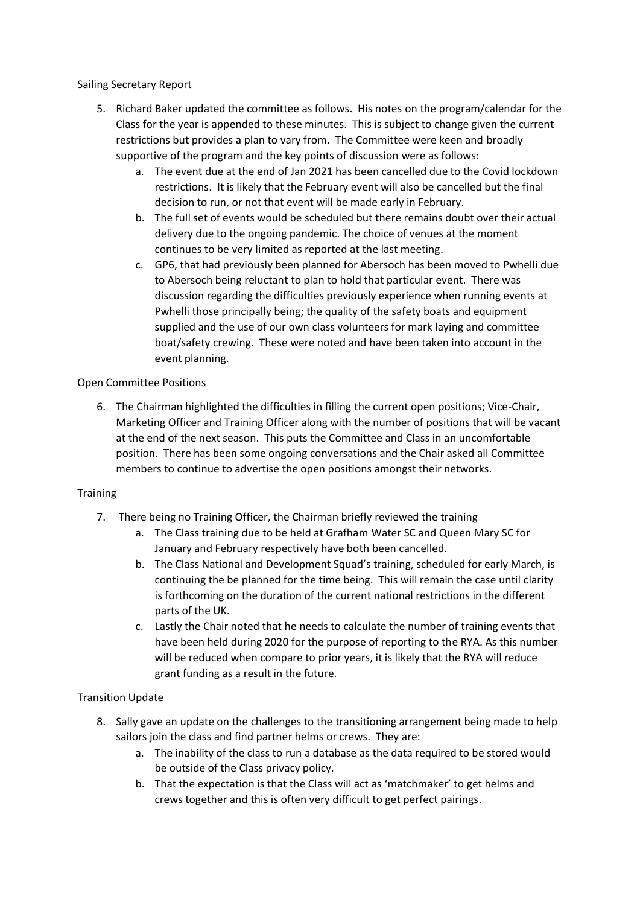Sailing Secretary Report

- 5. Richard Baker updated the committee as follows. His notes on the program/calendar for the Class for the year is appended to these minutes. This is subject to change given the current restrictions but provides a plan to vary from. The Committee were keen and broadly supportive of the program and the key points of discussion were as follows:
	- a. The event due at the end of Jan 2021 has been cancelled due to the Covid lockdown restrictions. It is likely that the February event will also be cancelled but the final decision to run, or not that event will be made early in February.
	- b. The full set of events would be scheduled but there remains doubt over their actual delivery due to the ongoing pandemic. The choice of venues at the moment continues to be very limited as reported at the last meeting.
	- c. GP6, that had previously been planned for Abersoch has been moved to Pwhelli due to Abersoch being reluctant to plan to hold that particular event. There was discussion regarding the difficulties previously experience when running events at Pwhelli those principally being; the quality of the safety boats and equipment supplied and the use of our own class volunteers for mark laying and committee boat/safety crewing. These were noted and have been taken into account in the event planning.

# Open Committee Positions

6. The Chairman highlighted the difficulties in filling the current open positions; Vice-Chair, Marketing Officer and Training Officer along with the number of positions that will be vacant at the end of the next season. This puts the Committee and Class in an uncomfortable position. There has been some ongoing conversations and the Chair asked all Committee members to continue to advertise the open positions amongst their networks.

# **Training**

- 7. There being no Training Officer, the Chairman briefly reviewed the training
	- a. The Class training due to be held at Grafham Water SC and Queen Mary SC for January and February respectively have both been cancelled.
	- b. The Class National and Development Squad's training, scheduled for early March, is continuing the be planned for the time being. This will remain the case until clarity is forthcoming on the duration of the current national restrictions in the different parts of the UK.
	- c. Lastly the Chair noted that he needs to calculate the number of training events that have been held during 2020 for the purpose of reporting to the RYA. As this number will be reduced when compare to prior years, it is likely that the RYA will reduce grant funding as a result in the future.

# Transition Update

- 8. Sally gave an update on the challenges to the transitioning arrangement being made to help sailors join the class and find partner helms or crews. They are:
	- a. The inability of the class to run a database as the data required to be stored would be outside of the Class privacy policy.
	- b. That the expectation is that the Class will act as 'matchmaker' to get helms and crews together and this is often very difficult to get perfect pairings.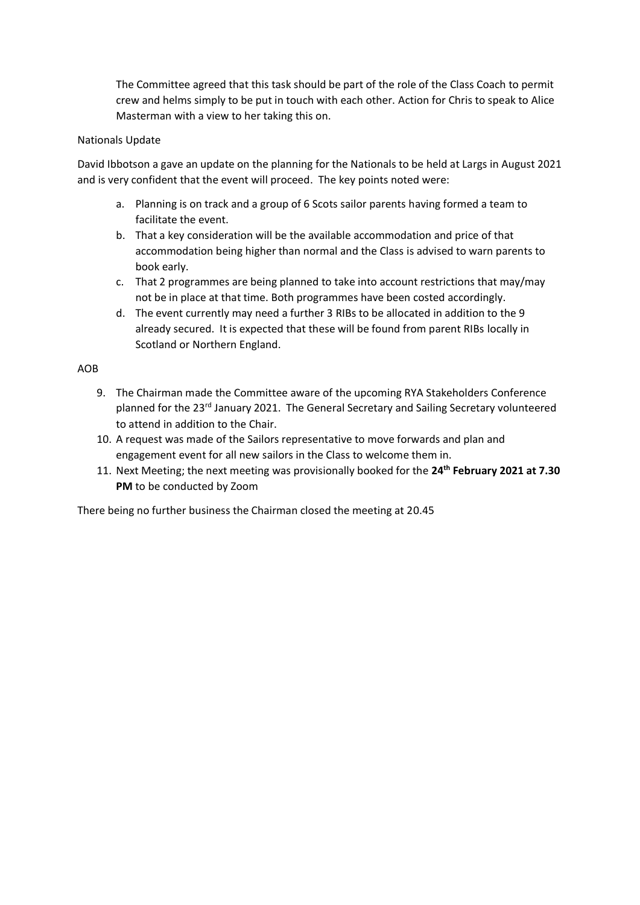The Committee agreed that this task should be part of the role of the Class Coach to permit crew and helms simply to be put in touch with each other. Action for Chris to speak to Alice Masterman with a view to her taking this on.

### Nationals Update

David Ibbotson a gave an update on the planning for the Nationals to be held at Largs in August 2021 and is very confident that the event will proceed. The key points noted were:

- a. Planning is on track and a group of 6 Scots sailor parents having formed a team to facilitate the event.
- b. That a key consideration will be the available accommodation and price of that accommodation being higher than normal and the Class is advised to warn parents to book early.
- c. That 2 programmes are being planned to take into account restrictions that may/may not be in place at that time. Both programmes have been costed accordingly.
- d. The event currently may need a further 3 RIBs to be allocated in addition to the 9 already secured. It is expected that these will be found from parent RIBs locally in Scotland or Northern England.

## AOB

- 9. The Chairman made the Committee aware of the upcoming RYA Stakeholders Conference planned for the 23<sup>rd</sup> January 2021. The General Secretary and Sailing Secretary volunteered to attend in addition to the Chair.
- 10. A request was made of the Sailors representative to move forwards and plan and engagement event for all new sailors in the Class to welcome them in.
- 11. Next Meeting; the next meeting was provisionally booked for the **24th February 2021 at 7.30 PM** to be conducted by Zoom

There being no further business the Chairman closed the meeting at 20.45